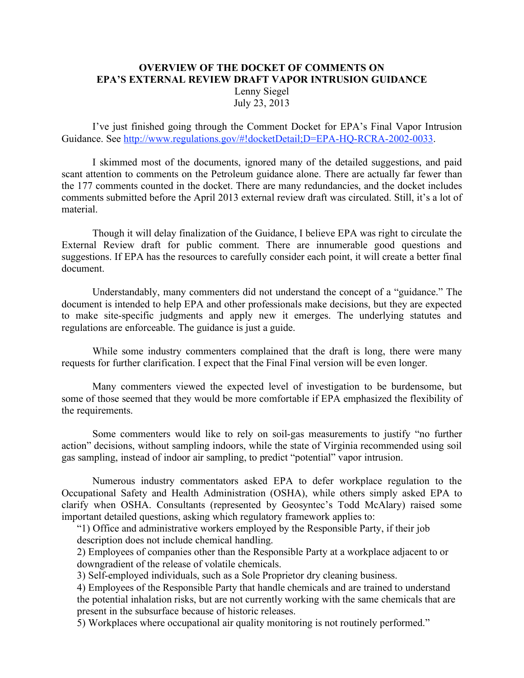## **OVERVIEW OF THE DOCKET OF COMMENTS ON EPA'S EXTERNAL REVIEW DRAFT VAPOR INTRUSION GUIDANCE**

Lenny Siegel July 23, 2013

I've just finished going through the Comment Docket for EPA's Final Vapor Intrusion Guidance. See http://www.regulations.gov/#!docketDetail;D=EPA-HQ-RCRA-2002-0033.

I skimmed most of the documents, ignored many of the detailed suggestions, and paid scant attention to comments on the Petroleum guidance alone. There are actually far fewer than the 177 comments counted in the docket. There are many redundancies, and the docket includes comments submitted before the April 2013 external review draft was circulated. Still, it's a lot of material.

Though it will delay finalization of the Guidance, I believe EPA was right to circulate the External Review draft for public comment. There are innumerable good questions and suggestions. If EPA has the resources to carefully consider each point, it will create a better final document.

Understandably, many commenters did not understand the concept of a "guidance." The document is intended to help EPA and other professionals make decisions, but they are expected to make site-specific judgments and apply new it emerges. The underlying statutes and regulations are enforceable. The guidance is just a guide.

While some industry commenters complained that the draft is long, there were many requests for further clarification. I expect that the Final Final version will be even longer.

Many commenters viewed the expected level of investigation to be burdensome, but some of those seemed that they would be more comfortable if EPA emphasized the flexibility of the requirements.

Some commenters would like to rely on soil-gas measurements to justify "no further action" decisions, without sampling indoors, while the state of Virginia recommended using soil gas sampling, instead of indoor air sampling, to predict "potential" vapor intrusion.

Numerous industry commentators asked EPA to defer workplace regulation to the Occupational Safety and Health Administration (OSHA), while others simply asked EPA to clarify when OSHA. Consultants (represented by Geosyntec's Todd McAlary) raised some important detailed questions, asking which regulatory framework applies to:

"1) Office and administrative workers employed by the Responsible Party, if their job description does not include chemical handling.

2) Employees of companies other than the Responsible Party at a workplace adjacent to or downgradient of the release of volatile chemicals.

3) Self-employed individuals, such as a Sole Proprietor dry cleaning business.

4) Employees of the Responsible Party that handle chemicals and are trained to understand the potential inhalation risks, but are not currently working with the same chemicals that are present in the subsurface because of historic releases.

5) Workplaces where occupational air quality monitoring is not routinely performed."